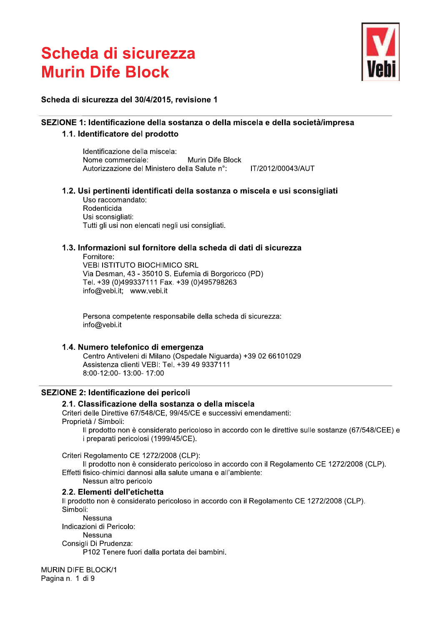

#### Scheda di sicurezza del 30/4/2015, revisione 1

#### SEZIONE 1: Identificazione della sostanza o della miscela e della società/impresa

#### 1.1. Identificatore del prodotto

Identificazione della miscela: Murin Dife Block Nome commerciale: Autorizzazione del Ministero della Salute n°: IT/2012/00043/AUT

#### 1.2. Usi pertinenti identificati della sostanza o miscela e usi sconsigliati

Uso raccomandato: Rodenticida Usi sconsigliati: Tutti gli usi non elencati negli usi consigliati.

#### 1.3. Informazioni sul fornitore della scheda di dati di sicurezza

Fornitore:

**VEBI ISTITUTO BIOCHIMICO SRL** Via Desman, 43 - 35010 S. Eufemia di Borgoricco (PD) Tel. +39 (0)499337111 Fax. +39 (0)495798263 info@vebi.it; www.vebi.it

Persona competente responsabile della scheda di sicurezza: info@vebi.it

#### 1.4. Numero telefonico di emergenza

Centro Antiveleni di Milano (Ospedale Niguarda) +39 02 66101029 Assistenza clienti VEBI: Tel. +39 49 9337111 8:00-12:00-13:00-17:00

#### **SEZIONE 2: Identificazione dei pericoli**

#### 2.1. Classificazione della sostanza o della miscela

Criteri delle Direttive 67/548/CE, 99/45/CE e successivi emendamenti: Proprietà / Simboli:

Il prodotto non è considerato pericoloso in accordo con le direttive sulle sostanze (67/548/CEE) e i preparati pericolosi (1999/45/CE).

Criteri Regolamento CE 1272/2008 (CLP):

Il prodotto non è considerato pericoloso in accordo con il Regolamento CE 1272/2008 (CLP). Effetti fisico-chimici dannosi alla salute umana e all'ambiente:

Nessun altro pericolo

#### 2.2. Elementi dell'etichetta

Il prodotto non è considerato pericoloso in accordo con il Regolamento CE 1272/2008 (CLP). Simboli:

Nessuna Indicazioni di Pericolo:

Nessuna

Consigli Di Prudenza:

P102 Tenere fuori dalla portata dei bambini.

**MURIN DIFE BLOCK/1** Pagina n. 1 di 9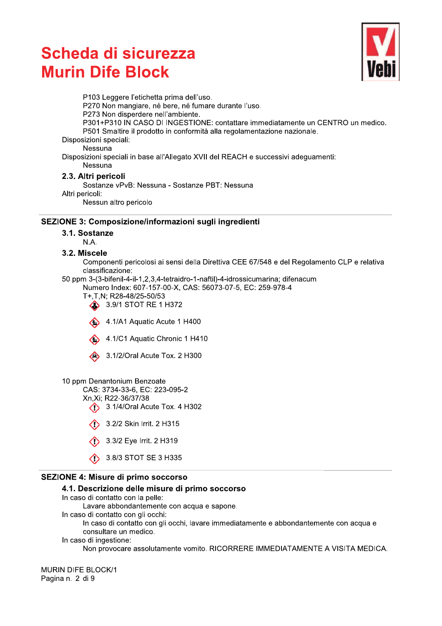# Scheda di sicurezza<br>--**MUIN DITE BIOCK Scheda di sicurezza**<br> **Murin Dife Block**<br>
P103 Leggere l'etichetta prima dell'uso.<br>
P270 Non mangiare, né bere, né tumane durante l'uso.<br>
P270 Non mangiare, né bere, né tumane durante l'uso.<br>
P301 FP310 IN CASO DI INGESTI



PS01 Smaltire il prodotto in conformità alla regolament<br>
Disposizioni speciali:<br>
Nessuna<br>
Disposizioni speciali in base all'Allegato XVII del REACH e su<br>
Nessuna<br>
2.3. Altri pericoli<br>
Sostanze PVB: Nessuna - Sostanze PBT:

## i pericoli

## SEZIONE 3: Composizione/informazioni sugli ingredienti

3.1. Sostanze

 $N.A.$ 

Altri pericoli:<br>
Nessun altro pericolo<br>
SEZIONE 3: Composizione/informazioni sugli ingredienti<br>
3.1. Sostanze<br>
N.A.<br>
3.2. Miscele<br>
Componenti pericolosi ai sensi della Direttiva CEE 67/548 e del Regolamento CLP e relativa 3.2. Miscele<br>
Componenti pericolosi ai sensi della Direttiva CEE<br>
classificazione:<br>
50 ppm 3-(3-bifenil-4-il-1,2,3,4-tetraidro-1-naftil)-4-idrossic<br>
Numero Index: 607-157-00-X, CAS: 56073-07-5, EO<br>
T+,T,N; R28-48/25-50/53





4.1/A1 Aquatic Acute 1 H400<br>
4.1/C1 Aquatic Chronic 1 H410<br>
4.3.1/2/Oral Acute Tox. 2 H300<br>
10 ppm Denantonium Benzoate<br>
CAS: 3734-33-6, EC: 223-095-2<br>
Xn,Xi; R22-36/37/38<br>
4.3.1/4/Oral Acute Tox. 4 H302<br>
4.3.2/2 Skin Irri



- 3.1/4/Oral Acute Tox. 4 H302
- 
- 
- 

## e di primo soccorso

# 3.1/2/Oral Acute Tox. 2 H300<br>
10 ppm Denantonium Benzoate<br>
CAS: 3734-33-6, EC: 223-095-2<br>  $Xn,Xi$ ; R22-36/37/38<br>  $\bullet$  3.1/4/Oral Acute Tox. 4 H302<br>  $\bullet$  3.2/2 Skin Irrit. 2 H315<br>  $\bullet$  3.3/2 Eye Irrit. 2 H319<br>  $\bullet$  3.8/3 ST 4.1. Descrizione delle misure di primo soccors

- 
- Lavaic abbondantement<br>
In caso di contatto con gli occl<br>
In caso di ingestione:<br>
In caso di ingestione:<br>
Non provocare assoluta<br>
MURIN DIFE BLOCK/1<br>
Pagina n. 2 di 9 (1) 3.8/2 Eye Irrit. 2 H319<br>
(2) 3.8/3 STOT SE 3 H335<br>
SEZIONE 4: Misure di primo soccorso<br>
4.1. Descrizione delle misure di primo soccorso<br>
In caso di contatto con gliele:<br>
Lavare abbondantemente con acqua e sapone.<br>
In

**MURIN DIFE BLOCK/1**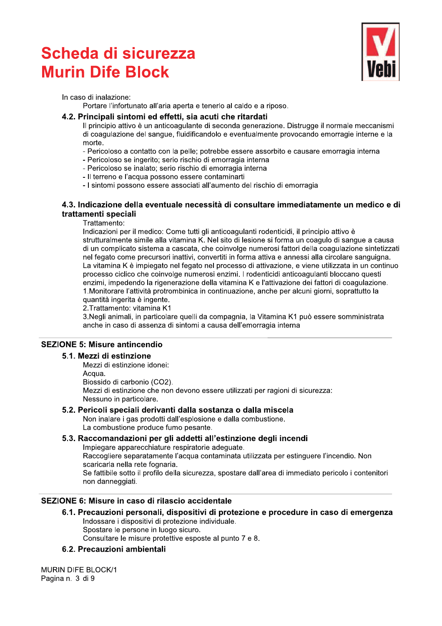

#### incipali sintomi ed effetti, sia acuti che ritard

**Scheda di sicurezza**<br>
In caso di inalazione:<br>
In caso di inalazione:<br>
Portare l'infortunato all'aria aperta e tenerlo al caldo e a riposo.<br>
4.2. Principali sintomi ed effetti, sia acuti che ritardati<br>
Il principio attivo **Murin Dife Block**<br>
In caso di inalazione:<br>
Portare l'infortunato all'aria aperta e tenerto al caldo e a riposo.<br>
4.2. Principia intividuale di firetti, sia acuti che rittardati<br>
Il principio attivo è un anticoagularle di

- 
- 
- 
- 
- 

#### 4.3. Indicazione della eventuale necessità di consultare immediatamente un medico e di trattamenti speciali

**4.2. Principali sintomi ed effetti, sia acuti che ritardati**<br>
Il principio ativo è un anticoagulante di seconda generazione. Distrugge il normale meccanis<br>
di coagulazione del sangue, fluidificandolo e eventualmente prov - Periciolas es lugativi, ación de diversas en comartementalmente de la mercaja interior - l'efernolos se inalato, serio rischo di emorragia interioral<br>
- I sinterior el racque possono essere associali all'aumento del risc

1112; 2111/2011<br>
2. Tratharento: vitamina K1<br>
2. Negli animali, in particolare quelli da compagnia, la Vitamina K1 può essere somministre<br>
2. Alexa di animali, in particolare quelli da compagnia, la Vitamina K1 può essere

#### **SEZIONE 5: Misure antincendio**

#### 5.2. Pericoli speciali derivanti dalla sostanza o dalla miscela

5.1. Mezzi di estinzione<br>
Mezzi di estinzione idonei:<br>
Acqua<br>
Biossido di carbonio (CO2).<br>
Mezzi di estinzione che non devono essere utilizzati per ragioni di sicurezza:<br>
Nessuno in particolare.<br>
5.2. Pericoli speciali der

#### SEZIONE 6: Misure in caso di rilascio accidentale

# 6.1. Precauzioni personali<br>
Indossare i dispositivi di<br>
Spostare le persone in l<br>
Consultare le misure pre<br>
6.2. Precauzioni ambienta<br>
MURIN DIFE BLOCK/1<br>
Pagina n. 3 di 9 Biossido di carbonio (CO2).<br>
Mezzi di estinzione che non devono essere utilizzati per ragioni di sicurezza:<br>
Mezzi di estinzione che non devono essere utilizzata per ragioni di sicurezza:<br>
5.2. Pericoli speciali derivarnit 6.1. Precauzioni personali, dispositivi di protezione e procedure in caso di emerg Raccogliere separatamente l'acqua contaminata utilizzata per estinguere l'incendio. Non<br>
scarica nella rete fognaria.<br>
Se fattibile sotto il profilo della sicurezza, spostare dall'area di immediato pericolo i contenitori<br>

#### 6.2. Precauzioni ambientali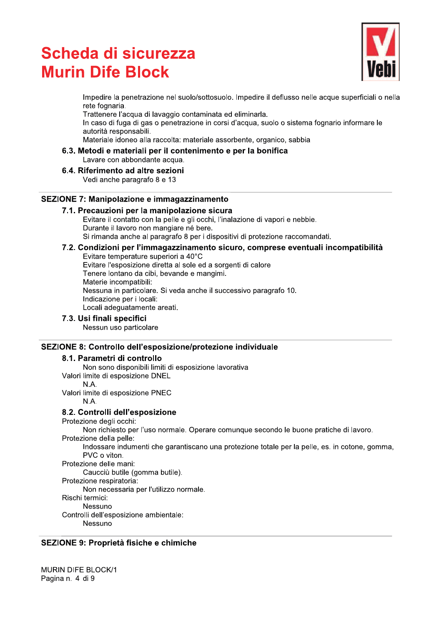# Scheda di sicurezza<br>--**MUIN DITE BIOCK** Scheda di sicurezza<br>
Murin Dife Block<br>
Impedire la penetrazione nel suolo/sottosuolo. Impedire il deflusso nelle acque superficiali o nella<br>
rirattenere l'acqua di lavaggio contaminata ed eliminata.<br>
Trattenere l'acqua di



### iali per il contenimento e per la bonifica

Lavare con abbondante acqua.

#### b.4. Riferimento ad altre

#### SEZIONE 7: Manipolazione e immagazzinamento

### $\overline{I}$ .1. Precauzioni per la manipolazione sicura

Trattener l'acqua di lavaggio cor<br>
In caso di fuga di gas o penetrazia<br>
autorità responsabili.<br>
Materiale idoneo alla raccolta: ma<br>
6.3. Metodi e materiali per il conte<br>
Lavare con abbondante acqua.<br>
6.4. Riferimento ad al

## $\Gamma$ immagazzinamento sicuro, compre

6.3. Metodi e materiali per il contenimento e per la bonifica<br>
6.4. Riferimento ad altre sezioni<br>
Vedi anche paragrafo 8 e 13<br>
SEZIONE 7: Manipolazione e immagazzinamento<br>
7.1. Precauzioni per la manipolazione sicura<br>
Evit SEZIONE 7: Manipolazione e immagazzinamento<br>
7.1. Precauzioni per la manipolazione sicura<br>
Evitare il contatto con la pelle e gli cochi, l'inalazione di vapori e nebbie.<br>
Eurante il lavoro non mangiare nè bere.<br>
Si rimanda

### SEZIONE 8: Controllo dell'esposizione/protezione individuale

#### 8.1. Parametri di contro

Indicazione per i locali<br>
2. Usci finali specifici<br>
7.3. Usi finali specifici<br>
Nessun uso particolare<br>
SEZIONE 8: Controllo dell'esposizione/protezione individuale<br>
8.1. Paranetri di controllo<br>
10.4.<br>
Non sono disponibili

8.1. Parametri di controllo<br>
Non sono disposizione limiti di esposizione lavorativa<br>
Valori limite di esposizione PNEC<br>
Valori limite di esposizione PNEC<br>
NA.<br>
NA.<br>
INCRETITY INCRETITY INCRETITY OF UNITS CONTINUES TO CONTR

## SEZIONE 9: Proprieta fisicne e chimicne

**MURIN DIFE BLOCK/1** Controlli dell'esposizione ambi<br>
Nessuno<br>
SEZIONE 9: Proprietà fisiche e<br>
MURIN DIFE BLOCK/1<br>
Pagina n. 4 di 9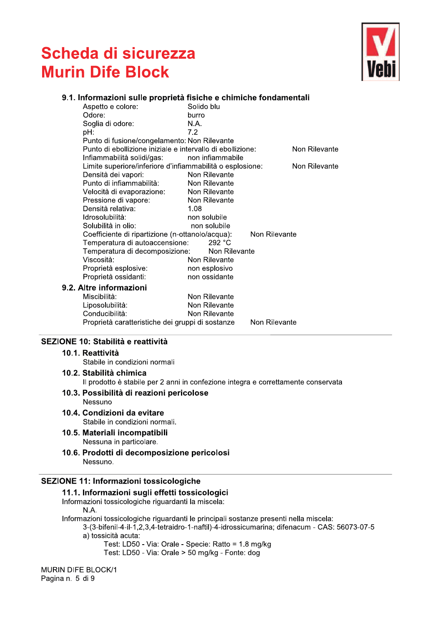

#### 9.1. Informazioni sulle proprietà fisiche e chimiche fondamentali

| Aspetto e colore:                                          | Solido blu       |               |               |
|------------------------------------------------------------|------------------|---------------|---------------|
| Odore:                                                     | burro            |               |               |
| Soglia di odore:                                           | N.A.             |               |               |
| pH:                                                        | 7.2              |               |               |
| Punto di fusione/congelamento: Non Rilevante               |                  |               |               |
| Punto di ebollizione iniziale e intervallo di ebollizione: |                  |               | Non Rilevante |
| Infiammabilità solidi/gas:                                 | non infiammabile |               |               |
| Limite superiore/inferiore d'infiammabilità o esplosione:  |                  |               | Non Rilevante |
| Densità dei vapori:                                        | Non Rilevante    |               |               |
| Punto di infiammabilità:                                   | Non Rilevante    |               |               |
| Velocità di evaporazione:                                  | Non Rilevante    |               |               |
| Pressione di vapore:                                       | Non Rilevante    |               |               |
| Densità relativa:                                          | 1.08             |               |               |
| Idrosolubilità:                                            | non solubile     |               |               |
| Solubilità in olio:                                        | non solubile     |               |               |
| Coefficiente di ripartizione (n-ottanolo/acqua):           |                  | Non Rilevante |               |
| Temperatura di autoaccensione:                             | 292 °C           |               |               |
| Temperatura di decomposizione:                             | Non Rilevante    |               |               |
| Viscosità:                                                 | Non Rilevante    |               |               |
| Proprietà esplosive:                                       | non esplosivo    |               |               |
| Proprietà ossidanti:                                       | non ossidante    |               |               |
| Altre informazioni                                         |                  |               |               |
| Miscibilità:                                               | Non Rilevante    |               |               |
| Liposolubilità:                                            | Non Rilevante    |               |               |
| Conducibilità:                                             | Non Rilevante    |               |               |
| Proprietà caratteristiche dei gruppi di sostanze           |                  | Non Rilevante |               |

#### SEZIONE 10: Stabilità e reattività

#### 10.1. Reattività

 $9.2.$ 

Stabile in condizioni normali

## 10.2. Stabilità chimica

Il prodotto è stabile per 2 anni in confezione integra e correttamente conservata

#### 10.3. Possibilità di reazioni pericolose

- Nessuno
- 10.4. Condizioni da evitare

Stabile in condizioni normali.

- 10.5. Materiali incompatibili Nessuna in particolare.
- 10.6. Prodotti di decomposizione pericolosi Nessuno.

#### **SEZIONE 11: Informazioni tossicologiche**

#### 11.1. Informazioni sugli effetti tossicologici

Informazioni tossicologiche riguardanti la miscela: N.A.

Informazioni tossicologiche riguardanti le principali sostanze presenti nella miscela:

3-(3-bifenil-4-il-1,2,3,4-tetraidro-1-naftil)-4-idrossicumarina; difenacum - CAS: 56073-07-5 a) tossicità acuta:

Test: LD50 - Via: Orale - Specie: Ratto = 1.8 mg/kg

Test: LD50 - Via: Orale > 50 mg/kg - Fonte: dog

**MURIN DIFE BLOCK/1** Pagina n. 5 di 9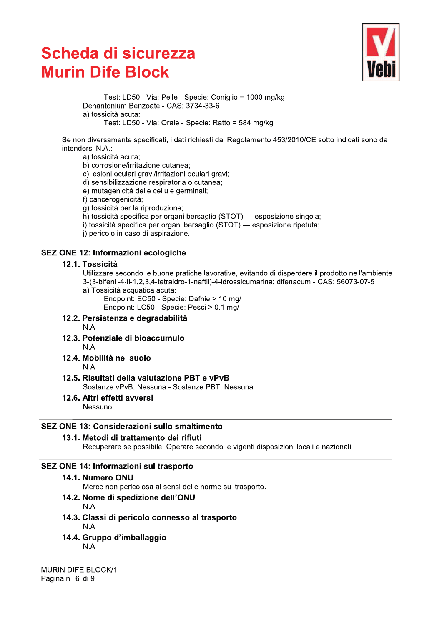# Scheda di sicurezza<br>--**MUIN DITE BIOCK**



**Scheda di sicurezza**<br>
Test: LD50 - Via: Pelle - Specie: Coniglio = 1000 mg/kg<br>
Denantonium Benzoate - CAS: 3734-33-6<br>
a) tossicità acuta:<br>
Test: LD50 - Via: Orale - Specie: Ratto = 584 mg/kg<br>
Se non diversamente specifica **THE BIOCK**<br>
Test: LD50 - Via: Pelle - Specie: Coniglio = 1000 mg/kg<br>
Denantonium Benzoate - CAS: 3734-33-6<br>
a) tossicila acuta:<br>
Test: LD50 - Via: Orlale - Specie: Ratto = 584 mg/kg<br>
Se non diversamente specificati, i dat

Se non diversamente specificati, i dati richiesti dal Regolamento 453/2010/CE sotto indicati sono da a) tosicità acuta<br>
Teristicalismente specificati, i dati richiesti dal Regolamento 453/2010/CE sotto indicati son<br>
intendersi N.A.:<br>
a) tosicità acuta;<br>
b) corrosione/irritazione cutanea;<br>
b) corrosione/irritazione cutanea

## SEZIONE 12: Informazioni ecologicne

g) tossicità per la riproduzione;<br>
h) tossicità specifica per organi bersaglio (STOT) — esposizione singola;<br>
h) tossicità specifica per organi bersaglio (STOT) — esposizione ripetuta;<br>
i) percolo in caso di aspirazione.<br>

#### sistenza e degradabilita  $N.A.$

- 12.3. Potenziale di bioaccumulo  $N.A$
- 12.4. Mobilità nel suolo  $N.A$

- 12.5. Risultati della valutazione PBT e vPvB Sostanze vPvB: Nessuna - Sostanze PBT: Nessuna S. Risultati della valutazione PBT e vPvB<br>
Sostanze vPvB: Nessuna - Sostanze PBT: Nessuna<br>
3. Altri effetti avversi<br>
Nessuno<br>
1. 13: Considerazioni sullo smaltimento<br>
1. Metodi di trattamento dei rifiuti<br>
Recuperare se pos
- 12.6. Altri effetti avversi Nessuno

#### $\overline{\phantom{0}}$  $SL$ IONE 13: Considerazioni sullo smaltimento

## 13.1. Metodi di trattamento dei rif

### SEZIONE 14: Informazioni sui trasporto

14.1. Numero ONU<br>Merce non pericolosa ai sensi delle norme sul trasporto.

- 
- IONE 13: Considerazioni sullo smaltimento<br>
13.1. Metodi di trattamento dei rifiuti<br>
Recuperare se possibile. Operare secondo le vigenti dispo<br>
IONE 14: Informazioni sul trasporto<br>
14.1. Numero ONU<br>
Merce non pericolosa ai icolo connesso al trasporto
- 14.3. Classi di pericolo co<br>
N.A.<br>
14.4. Gruppo d'imballaggi<br>
N.A.<br>
MURIN DIFE BLOCK/1<br>
Pagina n. 6 di 9 14.4. Gruppo d $\dot{\ }$ imballaggio

**MURIN DIFE BLOCK/1**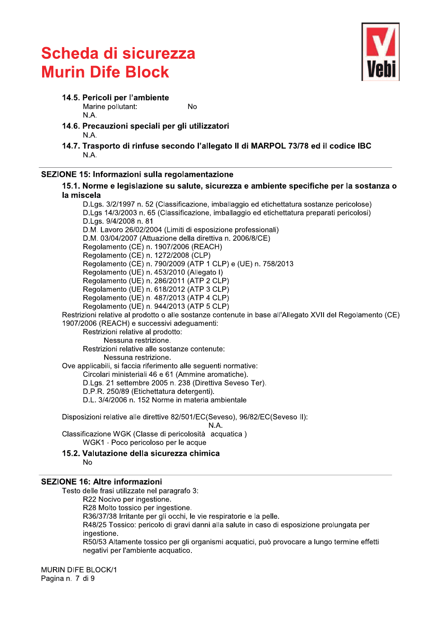

14.5. Pericoli per l'ambiente

N.A.

Marine pollutant:

- 14.6. Precauzioni speciali per gli utilizzatori N.A.
- 14.7. Trasporto di rinfuse secondo l'allegato II di MARPOL 73/78 ed il codice IBC N.A.

**No** 

#### SEZIONE 15: Informazioni sulla regolamentazione

15.1. Norme e legislazione su salute, sicurezza e ambiente specifiche per la sostanza o la miscela

D.Lgs. 3/2/1997 n. 52 (Classificazione, imballaggio ed etichettatura sostanze pericolose) D.Lgs 14/3/2003 n. 65 (Classificazione, imballaggio ed etichettatura preparati pericolosi) D.Las. 9/4/2008 n. 81 D.M. Lavoro 26/02/2004 (Limiti di esposizione professionali) D.M. 03/04/2007 (Attuazione della direttiva n. 2006/8/CE) Regolamento (CE) n. 1907/2006 (REACH) Regolamento (CE) n. 1272/2008 (CLP) Regolamento (CE) n. 790/2009 (ATP 1 CLP) e (UE) n. 758/2013 Regolamento (UE) n. 453/2010 (Allegato I) Regolamento (UE) n. 286/2011 (ATP 2 CLP) Regolamento (UE) n. 618/2012 (ATP 3 CLP) Regolamento (UE) n. 487/2013 (ATP 4 CLP)

Regolamento (UE) n. 944/2013 (ATP 5 CLP)

Restrizioni relative al prodotto o alle sostanze contenute in base all'Allegato XVII del Regolamento (CE) 1907/2006 (REACH) e successivi adequamenti:

Restrizioni relative al prodotto:

Nessuna restrizione.

Restrizioni relative alle sostanze contenute:

Nessuna restrizione.

Ove applicabili, si faccia riferimento alle seguenti normative:

Circolari ministeriali 46 e 61 (Ammine aromatiche).

D.Lgs. 21 settembre 2005 n. 238 (Direttiva Seveso Ter).

D.P.R. 250/89 (Etichettatura detergenti).

D.L. 3/4/2006 n. 152 Norme in materia ambientale

Disposizioni relative alle direttive 82/501/EC(Seveso), 96/82/EC(Seveso II):

N.A.

Classificazione WGK (Classe di pericolosità acquatica) WGK1 - Poco pericoloso per le acque

15.2. Valutazione della sicurezza chimica  $N<sub>0</sub>$ 

#### **SEZIONE 16: Altre informazioni**

Testo delle frasi utilizzate nel paragrafo 3: R22 Nocivo per ingestione. R28 Molto tossico per ingestione. R36/37/38 Irritante per gli occhi, le vie respiratorie e la pelle. R48/25 Tossico: pericolo di gravi danni alla salute in caso di esposizione prolungata per ingestione. R50/53 Altamente tossico per gli organismi acquatici, può provocare a lungo termine effetti negativi per l'ambiente acquatico.

**MURIN DIFE BLOCK/1** Pagina n. 7 di 9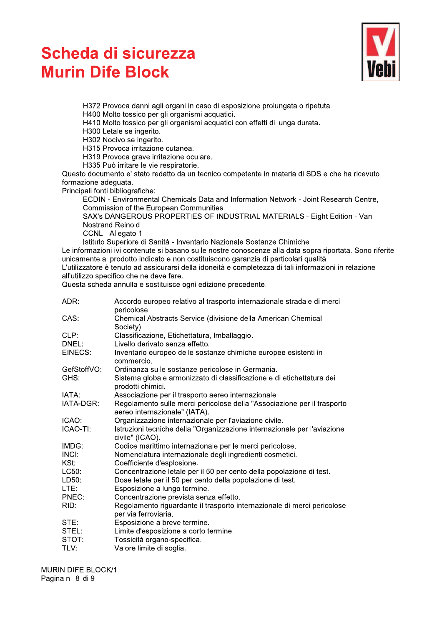

H372 Provoca danni agli organi in caso di esposizione prolungata o ripetuta.

H400 Molto tossico per gli organismi acquatici.

H410 Molto tossico per gli organismi acquatici con effetti di lunga durata.

H300 Letale se ingerito.

H302 Nocivo se ingerito.

H315 Provoca irritazione cutanea.

H319 Provoca grave irritazione oculare.

H335 Può irritare le vie respiratorie.

Questo documento e' stato redatto da un tecnico competente in materia di SDS e che ha ricevuto formazione adeguata.

Principali fonti bibliografiche:

ECDIN - Environmental Chemicals Data and Information Network - Joint Research Centre, Commission of the European Communities

SAX's DANGEROUS PROPERTIES OF INDUSTRIAL MATERIALS - Eight Edition - Van Nostrand Reinold

CCNL - Allegato 1

Istituto Superiore di Sanità - Inventario Nazionale Sostanze Chimiche

Le informazioni ivi contenute si basano sulle nostre conoscenze alla data sopra riportata. Sono riferite unicamente al prodotto indicato e non costituiscono garanzia di particolari qualità.

L'utilizzatore è tenuto ad assicurarsi della idoneità e completezza di tali informazioni in relazione all'utilizzo specifico che ne deve fare.

Questa scheda annulla e sostituisce ogni edizione precedente.

| ADR:        | Accordo europeo relativo al trasporto internazionale stradale di merci<br>pericolose.                    |
|-------------|----------------------------------------------------------------------------------------------------------|
| CAS:        | Chemical Abstracts Service (divisione della American Chemical<br>Society).                               |
| CLP:        | Classificazione, Etichettatura, Imballaggio.                                                             |
| DNEL:       | Livello derivato senza effetto.                                                                          |
| EINECS:     | Inventario europeo delle sostanze chimiche europee esistenti in<br>commercio.                            |
| GefStoffVO: | Ordinanza sulle sostanze pericolose in Germania.                                                         |
| GHS:        | Sistema globale armonizzato di classificazione e di etichettatura dei<br>prodotti chimici.               |
| IATA:       | Associazione per il trasporto aereo internazionale.                                                      |
| IATA-DGR:   | Regolamento sulle merci pericolose della "Associazione per il trasporto<br>aereo internazionale" (IATA). |
| ICAO:       | Organizzazione internazionale per l'aviazione civile.                                                    |
| ICAO-TI:    | Istruzioni tecniche della "Organizzazione internazionale per l'aviazione<br>civile" (ICAO).              |
| IMDG:       | Codice marittimo internazionale per le merci pericolose.                                                 |
| INCI:       | Nomenclatura internazionale degli ingredienti cosmetici.                                                 |
| KSt:        | Coefficiente d'esplosione.                                                                               |
| LC50:       | Concentrazione letale per il 50 per cento della popolazione di test.                                     |
| LD50:       | Dose letale per il 50 per cento della popolazione di test.                                               |
| LTE:        | Esposizione a lungo termine.                                                                             |
| PNEC:       | Concentrazione prevista senza effetto.                                                                   |
| RID:        | Regolamento riguardante il trasporto internazionale di merci pericolose<br>per via ferroviaria.          |
| STE:        | Esposizione a breve termine.                                                                             |
| STEL:       | Limite d'esposizione a corto termine.                                                                    |
| STOT:       | Tossicità organo-specifica.                                                                              |
| TLV:        | Valore limite di soglia.                                                                                 |
|             |                                                                                                          |

**MURIN DIFE BLOCK/1** Pagina n. 8 di 9